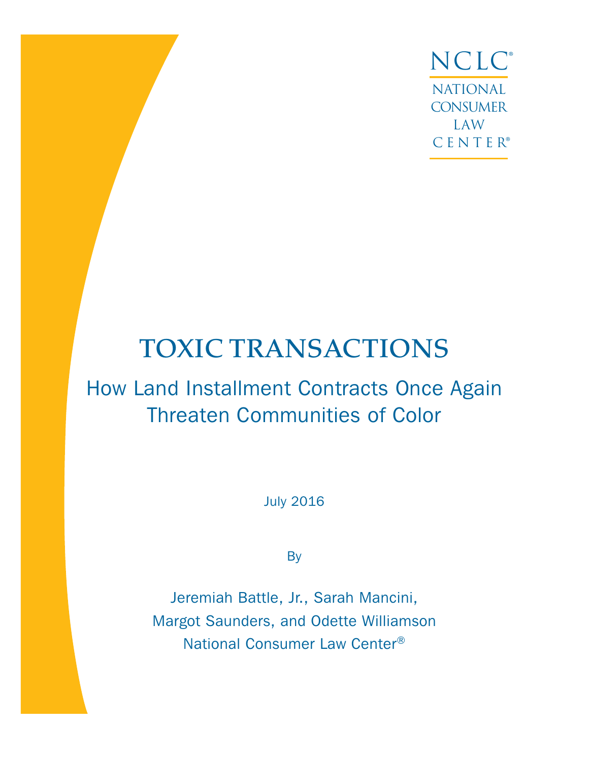NCLC® NATIONAL **CONSUMER** LAW CENTER®

# TOXIC TRANSACTIONS

# How Land Installment Contracts Once Again Threaten Communities of Color

July 2016

**By** 

Jeremiah Battle, Jr., Sarah Mancini, Margot Saunders, and Odette Williamson National Consumer Law Center®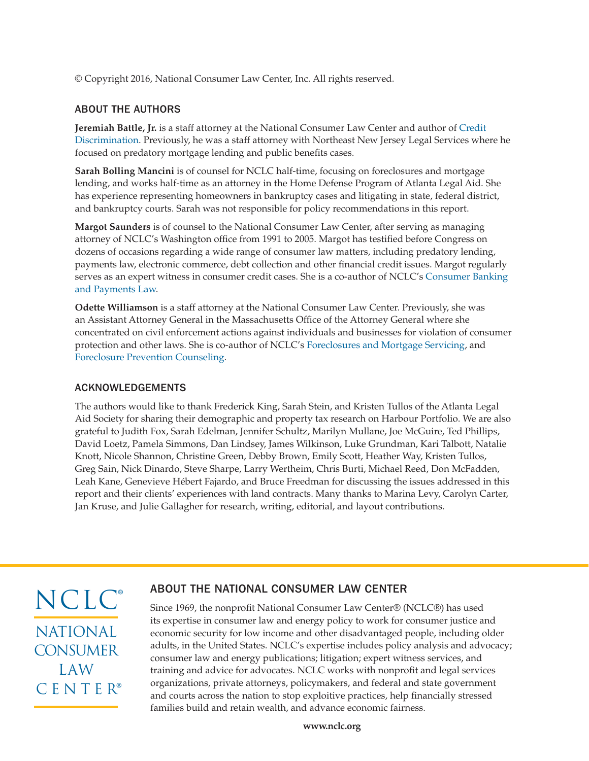© Copyright 2016, National Consumer Law Center, Inc. All rights reserved.

### ABOUT THE AUTHORS

**Jeremiah Battle, Jr.** is a staff attorney at the National Consumer Law Center and author of [Credit](https://library.nclc.org/cd)  [Discrimination](https://library.nclc.org/cd). Previously, he was a staff attorney with Northeast New Jersey Legal Services where he focused on predatory mortgage lending and public benefits cases.

**Sarah Bolling Mancini** is of counsel for NCLC half-time, focusing on foreclosures and mortgage lending, and works half-time as an attorney in the Home Defense Program of Atlanta Legal Aid. She has experience representing homeowners in bankruptcy cases and litigating in state, federal district, and bankruptcy courts. Sarah was not responsible for policy recommendations in this report.

**Margot Saunders** is of counsel to the National Consumer Law Center, after serving as managing attorney of NCLC's Washington office from 1991 to 2005. Margot has testified before Congress on dozens of occasions regarding a wide range of consumer law matters, including predatory lending, payments law, electronic commerce, debt collection and other financial credit issues. Margot regularly serves as an expert witness in consumer credit cases. She is a co-author of NCLC's [Consumer Banking](https://library.nclc.org/cbp)  [and Payments Law](https://library.nclc.org/cbp).

**Odette Williamson** is a staff attorney at the National Consumer Law Center. Previously, she was an Assistant Attorney General in the Massachusetts Office of the Attorney General where she concentrated on civil enforcement actions against individuals and businesses for violation of consumer protection and other laws. She is co-author of NCLC's [Foreclosures and Mortgage Servicing](https://library.nclc.org/forcl), and [Foreclosure Prevention Counseling](https://library.nclc.org/node/180431).

### ACKNOWLEDGEMENTS

The authors would like to thank Frederick King, Sarah Stein, and Kristen Tullos of the Atlanta Legal Aid Society for sharing their demographic and property tax research on Harbour Portfolio. We are also grateful to Judith Fox, Sarah Edelman, Jennifer Schultz, Marilyn Mullane, Joe McGuire, Ted Phillips, David Loetz, Pamela Simmons, Dan Lindsey, James Wilkinson, Luke Grundman, Kari Talbott, Natalie Knott, Nicole Shannon, Christine Green, Debby Brown, Emily Scott, Heather Way, Kristen Tullos, Greg Sain, Nick Dinardo, Steve Sharpe, Larry Wertheim, Chris Burti, Michael Reed, Don McFadden, Leah Kane, Genevieve Hébert Fajardo, and Bruce Freedman for discussing the issues addressed in this report and their clients' experiences with land contracts. Many thanks to Marina Levy, Carolyn Carter, Jan Kruse, and Julie Gallagher for research, writing, editorial, and layout contributions.

NCLC® NATIONAL **CONSUMER** LAW CENTER®

### ABOUT THE NATIONAL CONSUMER LAW CENTER

Since 1969, the nonprofit National Consumer Law Center® (NCLC®) has used its expertise in consumer law and energy policy to work for consumer justice and economic security for low income and other disadvantaged people, including older adults, in the United States. NCLC's expertise includes policy analysis and advocacy; consumer law and energy publications; litigation; expert witness services, and training and advice for advocates. NCLC works with nonprofit and legal services organizations, private attorneys, policymakers, and federal and state government and courts across the nation to stop exploitive practices, help financially stressed families build and retain wealth, and advance economic fairness.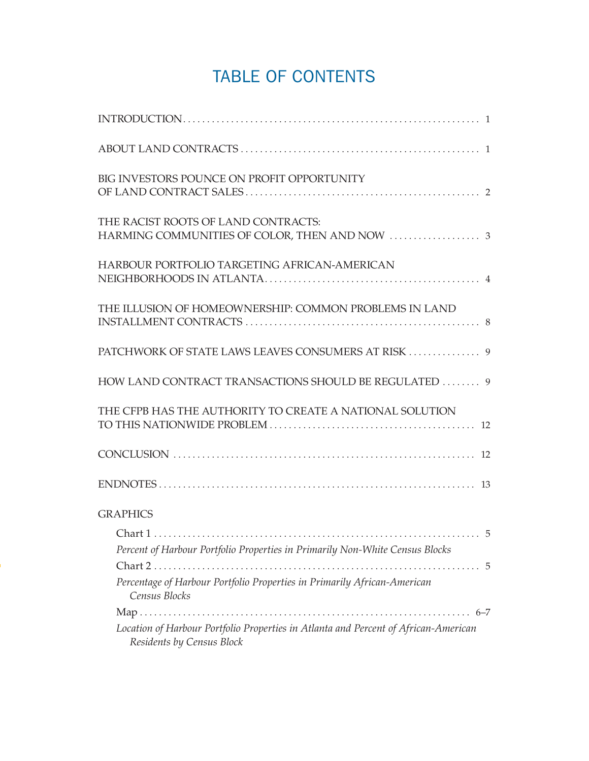# TABLE OF CONTENTS

| BIG INVESTORS POUNCE ON PROFIT OPPORTUNITY                                                                       |
|------------------------------------------------------------------------------------------------------------------|
| THE RACIST ROOTS OF LAND CONTRACTS:                                                                              |
| HARBOUR PORTFOLIO TARGETING AFRICAN-AMERICAN                                                                     |
| THE ILLUSION OF HOMEOWNERSHIP: COMMON PROBLEMS IN LAND                                                           |
|                                                                                                                  |
| HOW LAND CONTRACT TRANSACTIONS SHOULD BE REGULATED  9                                                            |
| THE CFPB HAS THE AUTHORITY TO CREATE A NATIONAL SOLUTION                                                         |
|                                                                                                                  |
|                                                                                                                  |
| <b>GRAPHICS</b>                                                                                                  |
| Percent of Harbour Portfolio Properties in Primarily Non-White Census Blocks                                     |
| Percentage of Harbour Portfolio Properties in Primarily African-American<br>Census Blocks                        |
| Location of Harbour Portfolio Properties in Atlanta and Percent of African-American<br>Residents by Census Block |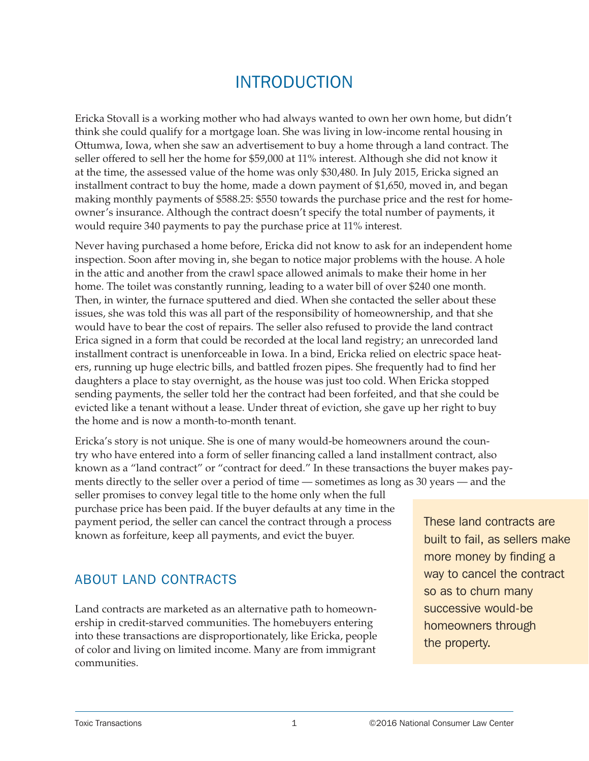# INTRODUCTION

<span id="page-4-0"></span>Ericka Stovall is a working mother who had always wanted to own her own home, but didn't think she could qualify for a mortgage loan. She was living in low-income rental housing in Ottumwa, Iowa, when she saw an advertisement to buy a home through a land contract. The seller offered to sell her the home for \$59,000 at 11% interest. Although she did not know it at the time, the assessed value of the home was only \$30,480. In July 2015, Ericka signed an installment contract to buy the home, made a down payment of \$1,650, moved in, and began making monthly payments of \$588.25: \$550 towards the purchase price and the rest for homeowner's insurance. Although the contract doesn't specify the total number of payments, it would require 340 payments to pay the purchase price at 11% interest.

Never having purchased a home before, Ericka did not know to ask for an independent home inspection. Soon after moving in, she began to notice major problems with the house. A hole in the attic and another from the crawl space allowed animals to make their home in her home. The toilet was constantly running, leading to a water bill of over \$240 one month. Then, in winter, the furnace sputtered and died. When she contacted the seller about these issues, she was told this was all part of the responsibility of homeownership, and that she would have to bear the cost of repairs. The seller also refused to provide the land contract Erica signed in a form that could be recorded at the local land registry; an unrecorded land installment contract is unenforceable in Iowa. In a bind, Ericka relied on electric space heaters, running up huge electric bills, and battled frozen pipes. She frequently had to find her daughters a place to stay overnight, as the house was just too cold. When Ericka stopped sending payments, the seller told her the contract had been forfeited, and that she could be evicted like a tenant without a lease. Under threat of eviction, she gave up her right to buy the home and is now a month-to-month tenant.

Ericka's story is not unique. She is one of many would-be homeowners around the country who have entered into a form of seller financing called a land installment contract, also known as a "land contract" or "contract for deed." In these transactions the buyer makes payments directly to the seller over a period of time — sometimes as long as 30 years — and the seller promises to convey legal title to the home only when the full purchase price has been paid. If the buyer defaults at any time in the payment period, the seller can cancel the contract through a process known as forfeiture, keep all payments, and evict the buyer.

## ABOUT LAND CONTRACTS

Land contracts are marketed as an alternative path to homeownership in credit-starved communities. The homebuyers entering into these transactions are disproportionately, like Ericka, people of color and living on limited income. Many are from immigrant communities.

These land contracts are built to fail, as sellers make more money by finding a way to cancel the contract so as to churn many successive would-be homeowners through the property.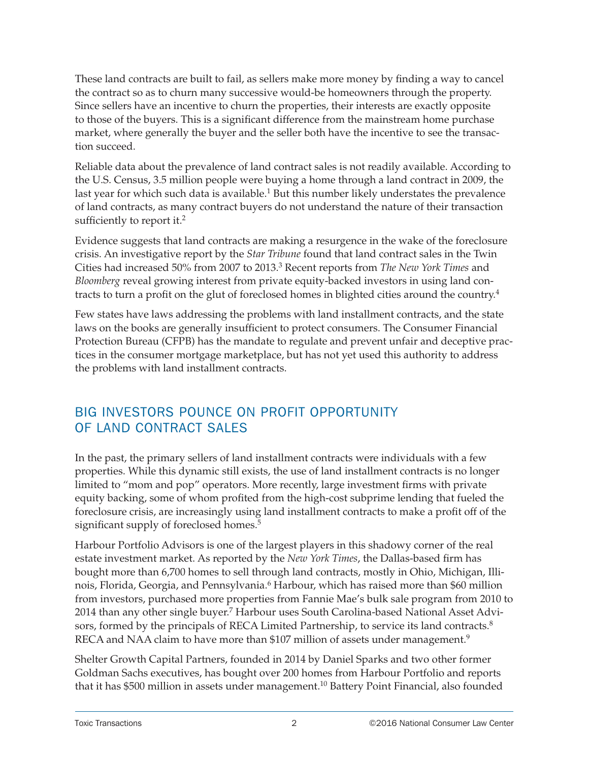<span id="page-5-0"></span>These land contracts are built to fail, as sellers make more money by finding a way to cancel the contract so as to churn many successive would-be homeowners through the property. Since sellers have an incentive to churn the properties, their interests are exactly opposite to those of the buyers. This is a significant difference from the mainstream home purchase market, where generally the buyer and the seller both have the incentive to see the transaction succeed.

Reliable data about the prevalence of land contract sales is not readily available. According to the U.S. Census, 3.5 million people were buying a home through a land contract in 2009, the last year for which such data is available.<sup>1</sup> But this number likely understates the prevalence of land contracts, as many contract buyers do not understand the nature of their transaction sufficiently to report it.<sup>2</sup>

Evidence suggests that land contracts are making a resurgence in the wake of the foreclosure crisis. An investigative report by the *Star Tribune* found that land contract sales in the Twin Cities had increased 50% from 2007 to 2013.3 Recent reports from *The New York Times* and *Bloomberg* reveal growing interest from private equity-backed investors in using land contracts to turn a profit on the glut of foreclosed homes in blighted cities around the country.4

Few states have laws addressing the problems with land installment contracts, and the state laws on the books are generally insufficient to protect consumers. The Consumer Financial Protection Bureau (CFPB) has the mandate to regulate and prevent unfair and deceptive practices in the consumer mortgage marketplace, but has not yet used this authority to address the problems with land installment contracts.

## BIG INVESTORS POUNCE ON PROFIT OPPORTUNITY OF LAND CONTRACT SALES

In the past, the primary sellers of land installment contracts were individuals with a few properties. While this dynamic still exists, the use of land installment contracts is no longer limited to "mom and pop" operators. More recently, large investment firms with private equity backing, some of whom profited from the high-cost subprime lending that fueled the foreclosure crisis, are increasingly using land installment contracts to make a profit off of the significant supply of foreclosed homes.<sup>5</sup>

Harbour Portfolio Advisors is one of the largest players in this shadowy corner of the real estate investment market. As reported by the *New York Times*, the Dallas-based firm has bought more than 6,700 homes to sell through land contracts, mostly in Ohio, Michigan, Illinois, Florida, Georgia, and Pennsylvania.<sup>6</sup> Harbour, which has raised more than \$60 million from investors, purchased more properties from Fannie Mae's bulk sale program from 2010 to 2014 than any other single buyer.<sup>7</sup> Harbour uses South Carolina-based National Asset Advisors, formed by the principals of RECA Limited Partnership, to service its land contracts.<sup>8</sup> RECA and NAA claim to have more than \$107 million of assets under management.<sup>9</sup>

Shelter Growth Capital Partners, founded in 2014 by Daniel Sparks and two other former Goldman Sachs executives, has bought over 200 homes from Harbour Portfolio and reports that it has \$500 million in assets under management.<sup>10</sup> Battery Point Financial, also founded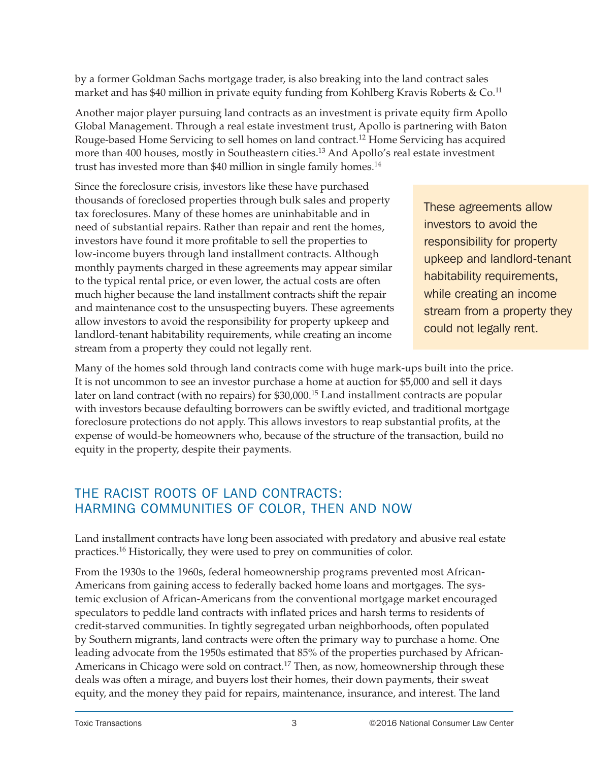<span id="page-6-0"></span>by a former Goldman Sachs mortgage trader, is also breaking into the land contract sales market and has \$40 million in private equity funding from Kohlberg Kravis Roberts &  $Co$ .<sup>11</sup>

Another major player pursuing land contracts as an investment is private equity firm Apollo Global Management. Through a real estate investment trust, Apollo is partnering with Baton Rouge-based Home Servicing to sell homes on land contract.12 Home Servicing has acquired more than 400 houses, mostly in Southeastern cities.<sup>13</sup> And Apollo's real estate investment trust has invested more than \$40 million in single family homes.<sup>14</sup>

Since the foreclosure crisis, investors like these have purchased thousands of foreclosed properties through bulk sales and property tax foreclosures. Many of these homes are uninhabitable and in need of substantial repairs. Rather than repair and rent the homes, investors have found it more profitable to sell the properties to low-income buyers through land installment contracts. Although monthly payments charged in these agreements may appear similar to the typical rental price, or even lower, the actual costs are often much higher because the land installment contracts shift the repair and maintenance cost to the unsuspecting buyers. These agreements allow investors to avoid the responsibility for property upkeep and landlord-tenant habitability requirements, while creating an income stream from a property they could not legally rent.

These agreements allow investors to avoid the responsibility for property upkeep and landlord-tenant habitability requirements, while creating an income stream from a property they could not legally rent.

Many of the homes sold through land contracts come with huge mark-ups built into the price. It is not uncommon to see an investor purchase a home at auction for \$5,000 and sell it days later on land contract (with no repairs) for \$30,000.<sup>15</sup> Land installment contracts are popular with investors because defaulting borrowers can be swiftly evicted, and traditional mortgage foreclosure protections do not apply. This allows investors to reap substantial profits, at the expense of would-be homeowners who, because of the structure of the transaction, build no equity in the property, despite their payments.

# THE RACIST ROOTS OF LAND CONTRACTS: HARMING COMMUNITIES OF COLOR, THEN AND NOW

Land installment contracts have long been associated with predatory and abusive real estate practices.16 Historically, they were used to prey on communities of color.

From the 1930s to the 1960s, federal homeownership programs prevented most African-Americans from gaining access to federally backed home loans and mortgages. The systemic exclusion of African-Americans from the conventional mortgage market encouraged speculators to peddle land contracts with inflated prices and harsh terms to residents of credit-starved communities. In tightly segregated urban neighborhoods, often populated by Southern migrants, land contracts were often the primary way to purchase a home. One leading advocate from the 1950s estimated that 85% of the properties purchased by African-Americans in Chicago were sold on contract.<sup>17</sup> Then, as now, homeownership through these deals was often a mirage, and buyers lost their homes, their down payments, their sweat equity, and the money they paid for repairs, maintenance, insurance, and interest. The land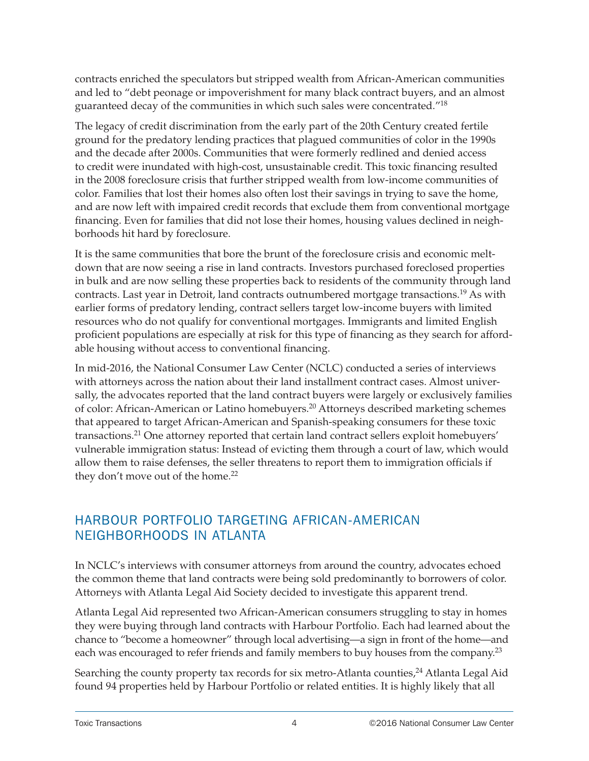<span id="page-7-0"></span>contracts enriched the speculators but stripped wealth from African-American communities and led to "debt peonage or impoverishment for many black contract buyers, and an almost guaranteed decay of the communities in which such sales were concentrated."18

The legacy of credit discrimination from the early part of the 20th Century created fertile ground for the predatory lending practices that plagued communities of color in the 1990s and the decade after 2000s. Communities that were formerly redlined and denied access to credit were inundated with high-cost, unsustainable credit. This toxic financing resulted in the 2008 foreclosure crisis that further stripped wealth from low-income communities of color. Families that lost their homes also often lost their savings in trying to save the home, and are now left with impaired credit records that exclude them from conventional mortgage financing. Even for families that did not lose their homes, housing values declined in neighborhoods hit hard by foreclosure.

It is the same communities that bore the brunt of the foreclosure crisis and economic meltdown that are now seeing a rise in land contracts. Investors purchased foreclosed properties in bulk and are now selling these properties back to residents of the community through land contracts. Last year in Detroit, land contracts outnumbered mortgage transactions.19 As with earlier forms of predatory lending, contract sellers target low-income buyers with limited resources who do not qualify for conventional mortgages. Immigrants and limited English proficient populations are especially at risk for this type of financing as they search for affordable housing without access to conventional financing.

In mid-2016, the National Consumer Law Center (NCLC) conducted a series of interviews with attorneys across the nation about their land installment contract cases. Almost universally, the advocates reported that the land contract buyers were largely or exclusively families of color: African-American or Latino homebuyers.20 Attorneys described marketing schemes that appeared to target African-American and Spanish-speaking consumers for these toxic transactions.21 One attorney reported that certain land contract sellers exploit homebuyers' vulnerable immigration status: Instead of evicting them through a court of law, which would allow them to raise defenses, the seller threatens to report them to immigration officials if they don't move out of the home.<sup>22</sup>

# HARBOUR PORTFOLIO TARGETING AFRICAN-AMERICAN NEIGHBORHOODS IN ATLANTA

In NCLC's interviews with consumer attorneys from around the country, advocates echoed the common theme that land contracts were being sold predominantly to borrowers of color. Attorneys with Atlanta Legal Aid Society decided to investigate this apparent trend.

Atlanta Legal Aid represented two African-American consumers struggling to stay in homes they were buying through land contracts with Harbour Portfolio. Each had learned about the chance to "become a homeowner" through local advertising—a sign in front of the home—and each was encouraged to refer friends and family members to buy houses from the company.<sup>23</sup>

Searching the county property tax records for six metro-Atlanta counties,<sup>24</sup> Atlanta Legal Aid found 94 properties held by Harbour Portfolio or related entities. It is highly likely that all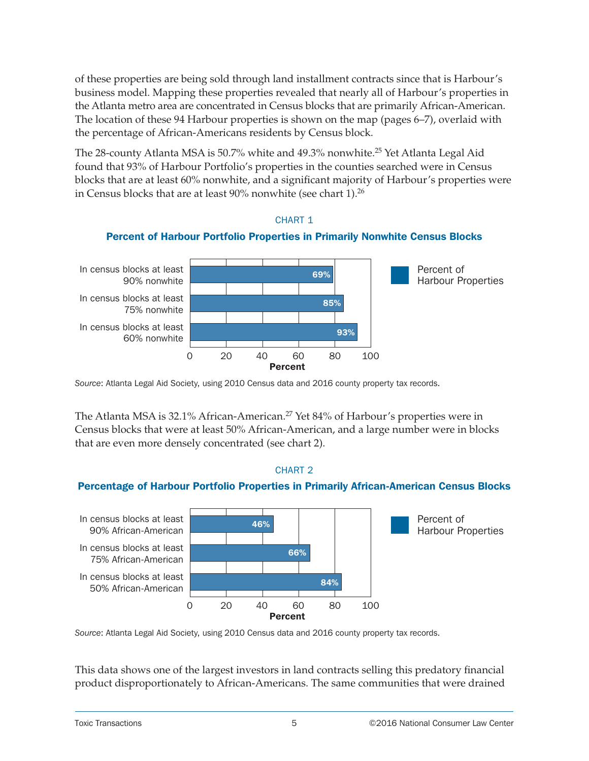<span id="page-8-0"></span>of these properties are being sold through land installment contracts since that is Harbour's business model. Mapping these properties revealed that nearly all of Harbour's properties in the Atlanta metro area are concentrated in Census blocks that are primarily African-American. The location of these 94 Harbour properties is shown on the map (pages 6–7), overlaid with the percentage of African-Americans residents by Census block.

The 28-county Atlanta MSA is 50.7% white and 49.3% nonwhite.<sup>25</sup> Yet Atlanta Legal Aid found that 93% of Harbour Portfolio's properties in the counties searched were in Census blocks that are at least 60% nonwhite, and a significant majority of Harbour's properties were in Census blocks that are at least  $90\%$  nonwhite (see chart 1).<sup>26</sup>

CHART 1



*Source*: Atlanta Legal Aid Society, using 2010 Census data and 2016 county property tax records.

The Atlanta MSA is 32.1% African-American.<sup>27</sup> Yet 84% of Harbour's properties were in Census blocks that were at least 50% African-American, and a large number were in blocks that are even more densely concentrated (see chart 2).



*Source*: Atlanta Legal Aid Society, using 2010 Census data and 2016 county property tax records.

This data shows one of the largest investors in land contracts selling this predatory financial product disproportionately to African-Americans. The same communities that were drained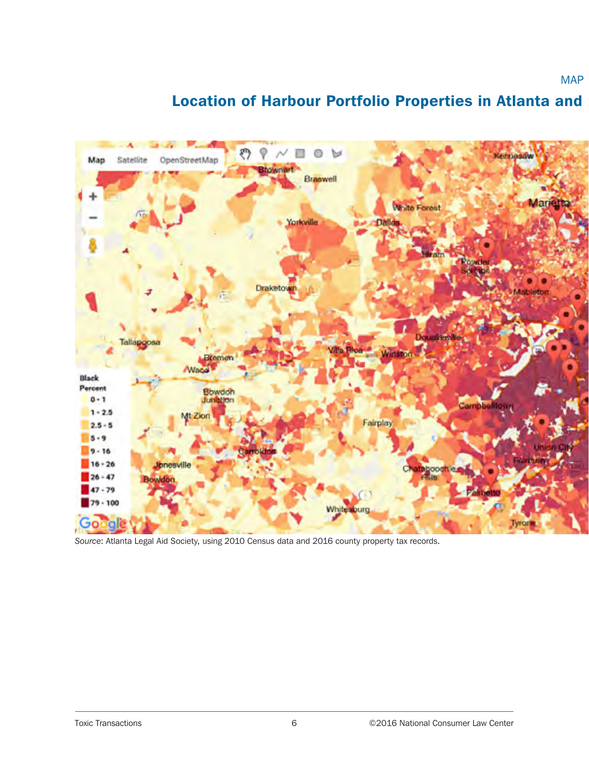#### <span id="page-9-0"></span>లి φ N  $\circ$ ы 酉 Kernasal Map. Satellite OpenStreetMap **Brownert** Braswell Mariet White Forest Yorkville **Am Draketown** Mableton **Douglass! The Rice** Winston Bremen Waca Black Percent Bowdon<br>Junation  $0 - 1$ Campbelltor  $1 - 2.5$ t Zion Fairplay  $2.5 - 5$  $5 - 9$  $9 - 16$  $16 - 26$ Jonesville taboochie  $26 - 47$ lowdon  $47 - 79$  $79 - 100$ Whitesburg , Go a

# Location of Harbour Portfolio Properties in Atlanta and

*Source*: Atlanta Legal Aid Society, using 2010 Census data and 2016 county property tax records.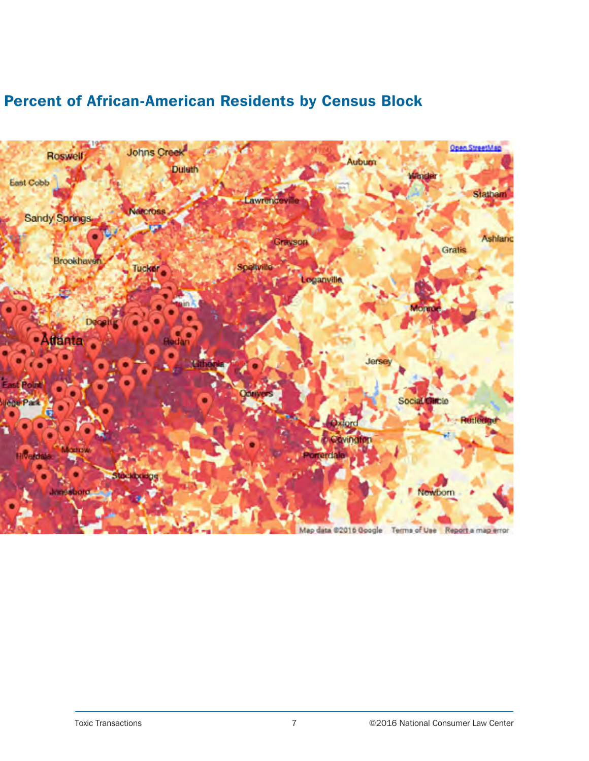

# Percent of African-American Residents by Census Block

Map data @2016 Google Terms of Use Report a map error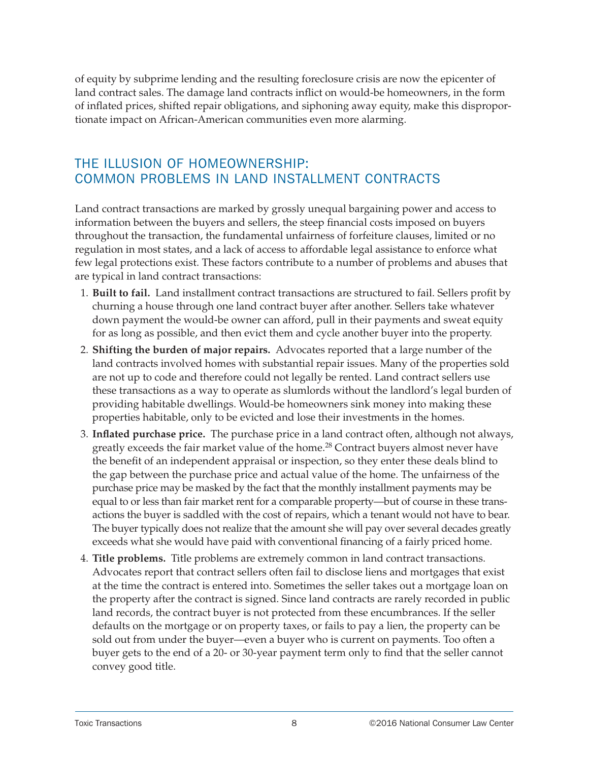<span id="page-11-0"></span>of equity by subprime lending and the resulting foreclosure crisis are now the epicenter of land contract sales. The damage land contracts inflict on would-be homeowners, in the form of inflated prices, shifted repair obligations, and siphoning away equity, make this disproportionate impact on African-American communities even more alarming.

## THE ILLUSION OF HOMEOWNERSHIP: COMMON PROBLEMS IN LAND INSTALLMENT CONTRACTS

Land contract transactions are marked by grossly unequal bargaining power and access to information between the buyers and sellers, the steep financial costs imposed on buyers throughout the transaction, the fundamental unfairness of forfeiture clauses, limited or no regulation in most states, and a lack of access to affordable legal assistance to enforce what few legal protections exist. These factors contribute to a number of problems and abuses that are typical in land contract transactions:

- 1. **Built to fail.** Land installment contract transactions are structured to fail. Sellers profit by churning a house through one land contract buyer after another. Sellers take whatever down payment the would-be owner can afford, pull in their payments and sweat equity for as long as possible, and then evict them and cycle another buyer into the property.
- 2. **Shifting the burden of major repairs.** Advocates reported that a large number of the land contracts involved homes with substantial repair issues. Many of the properties sold are not up to code and therefore could not legally be rented. Land contract sellers use these transactions as a way to operate as slumlords without the landlord's legal burden of providing habitable dwellings. Would-be homeowners sink money into making these properties habitable, only to be evicted and lose their investments in the homes.
- 3. **Inflated purchase price.** The purchase price in a land contract often, although not always, greatly exceeds the fair market value of the home.<sup>28</sup> Contract buyers almost never have the benefit of an independent appraisal or inspection, so they enter these deals blind to the gap between the purchase price and actual value of the home. The unfairness of the purchase price may be masked by the fact that the monthly installment payments may be equal to or less than fair market rent for a comparable property—but of course in these transactions the buyer is saddled with the cost of repairs, which a tenant would not have to bear. The buyer typically does not realize that the amount she will pay over several decades greatly exceeds what she would have paid with conventional financing of a fairly priced home.
- 4. **Title problems.** Title problems are extremely common in land contract transactions. Advocates report that contract sellers often fail to disclose liens and mortgages that exist at the time the contract is entered into. Sometimes the seller takes out a mortgage loan on the property after the contract is signed. Since land contracts are rarely recorded in public land records, the contract buyer is not protected from these encumbrances. If the seller defaults on the mortgage or on property taxes, or fails to pay a lien, the property can be sold out from under the buyer—even a buyer who is current on payments. Too often a buyer gets to the end of a 20- or 30-year payment term only to find that the seller cannot convey good title.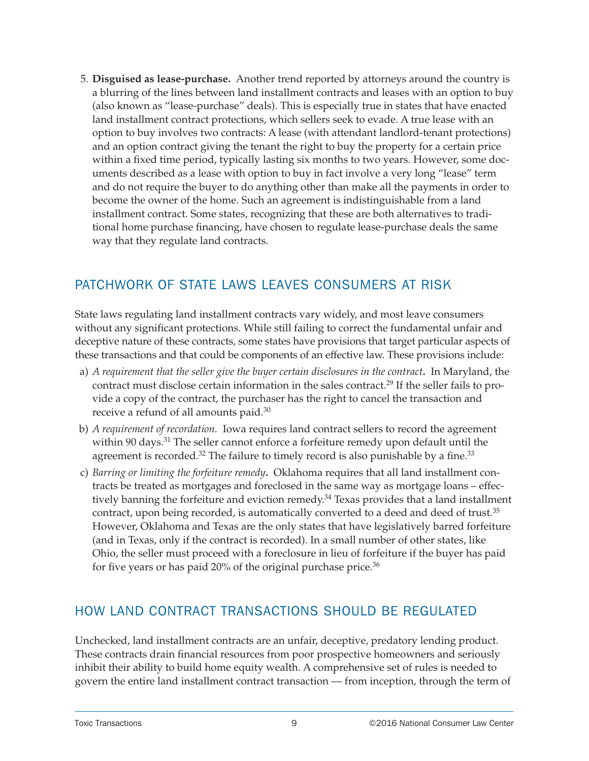<span id="page-12-0"></span>5. **Disguised as lease-purchase.** Another trend reported by attorneys around the country is a blurring of the lines between land installment contracts and leases with an option to buy (also known as "lease-purchase" deals). This is especially true in states that have enacted land installment contract protections, which sellers seek to evade. A true lease with an option to buy involves two contracts: A lease (with attendant landlord-tenant protections) and an option contract giving the tenant the right to buy the property for a certain price within a fixed time period, typically lasting six months to two years. However, some documents described as a lease with option to buy in fact involve a very long "lease" term and do not require the buyer to do anything other than make all the payments in order to become the owner of the home. Such an agreement is indistinguishable from a land installment contract. Some states, recognizing that these are both alternatives to traditional home purchase financing, have chosen to regulate lease-purchase deals the same way that they regulate land contracts.

# PATCHWORK OF STATE LAWS LEAVES CONSUMERS AT RISK

State laws regulating land installment contracts vary widely, and most leave consumers without any significant protections. While still failing to correct the fundamental unfair and deceptive nature of these contracts, some states have provisions that target particular aspects of these transactions and that could be components of an effective law. These provisions include:

- a) *A requirement that the seller give the buyer certain disclosures in the contract***.** In Maryland, the contract must disclose certain information in the sales contract.<sup>29</sup> If the seller fails to provide a copy of the contract, the purchaser has the right to cancel the transaction and receive a refund of all amounts paid.30
- b) *A requirement of recordation.* Iowa requires land contract sellers to record the agreement within 90 days.<sup>31</sup> The seller cannot enforce a forfeiture remedy upon default until the agreement is recorded.<sup>32</sup> The failure to timely record is also punishable by a fine.<sup>33</sup>
- c) *Barring or limiting the forfeiture remedy***.** Oklahoma requires that all land installment contracts be treated as mortgages and foreclosed in the same way as mortgage loans – effectively banning the forfeiture and eviction remedy.<sup>34</sup> Texas provides that a land installment contract, upon being recorded, is automatically converted to a deed and deed of trust.<sup>35</sup> However, Oklahoma and Texas are the only states that have legislatively barred forfeiture (and in Texas, only if the contract is recorded). In a small number of other states, like Ohio, the seller must proceed with a foreclosure in lieu of forfeiture if the buyer has paid for five years or has paid  $20\%$  of the original purchase price.<sup>36</sup>

## HOW LAND CONTRACT TRANSACTIONS SHOULD BE REGULATED

Unchecked, land installment contracts are an unfair, deceptive, predatory lending product. These contracts drain financial resources from poor prospective homeowners and seriously inhibit their ability to build home equity wealth. A comprehensive set of rules is needed to govern the entire land installment contract transaction — from inception, through the term of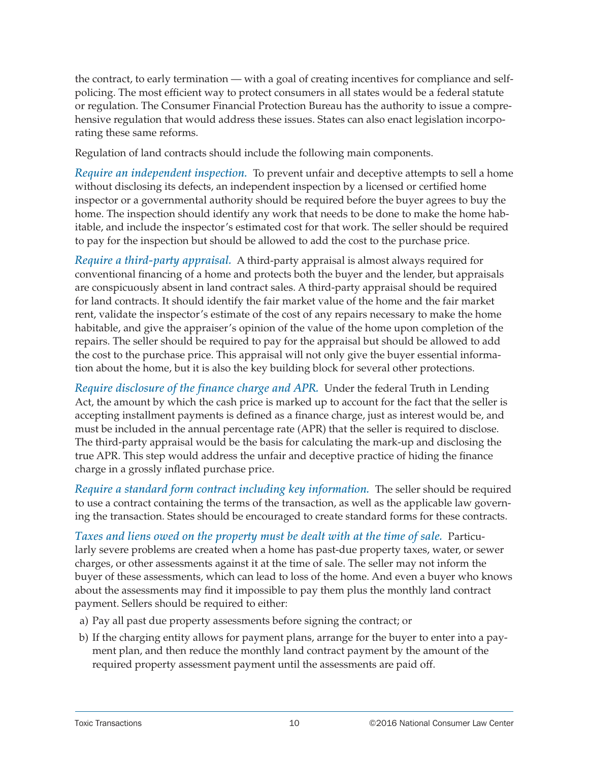<span id="page-13-0"></span>the contract, to early termination — with a goal of creating incentives for compliance and selfpolicing. The most efficient way to protect consumers in all states would be a federal statute or regulation. The Consumer Financial Protection Bureau has the authority to issue a comprehensive regulation that would address these issues. States can also enact legislation incorporating these same reforms.

Regulation of land contracts should include the following main components.

*Require an independent inspection.* To prevent unfair and deceptive attempts to sell a home without disclosing its defects, an independent inspection by a licensed or certified home inspector or a governmental authority should be required before the buyer agrees to buy the home. The inspection should identify any work that needs to be done to make the home habitable, and include the inspector's estimated cost for that work. The seller should be required to pay for the inspection but should be allowed to add the cost to the purchase price.

*Require a third-party appraisal.* A third-party appraisal is almost always required for conventional financing of a home and protects both the buyer and the lender, but appraisals are conspicuously absent in land contract sales. A third-party appraisal should be required for land contracts. It should identify the fair market value of the home and the fair market rent, validate the inspector's estimate of the cost of any repairs necessary to make the home habitable, and give the appraiser's opinion of the value of the home upon completion of the repairs. The seller should be required to pay for the appraisal but should be allowed to add the cost to the purchase price. This appraisal will not only give the buyer essential information about the home, but it is also the key building block for several other protections.

*Require disclosure of the finance charge and APR.* Under the federal Truth in Lending Act, the amount by which the cash price is marked up to account for the fact that the seller is accepting installment payments is defined as a finance charge, just as interest would be, and must be included in the annual percentage rate (APR) that the seller is required to disclose. The third-party appraisal would be the basis for calculating the mark-up and disclosing the true APR. This step would address the unfair and deceptive practice of hiding the finance charge in a grossly inflated purchase price.

*Require a standard form contract including key information.* The seller should be required to use a contract containing the terms of the transaction, as well as the applicable law governing the transaction. States should be encouraged to create standard forms for these contracts.

*Taxes and liens owed on the property must be dealt with at the time of sale.* Particularly severe problems are created when a home has past-due property taxes, water, or sewer charges, or other assessments against it at the time of sale. The seller may not inform the buyer of these assessments, which can lead to loss of the home. And even a buyer who knows about the assessments may find it impossible to pay them plus the monthly land contract payment. Sellers should be required to either:

- a) Pay all past due property assessments before signing the contract; or
- b) If the charging entity allows for payment plans, arrange for the buyer to enter into a payment plan, and then reduce the monthly land contract payment by the amount of the required property assessment payment until the assessments are paid off.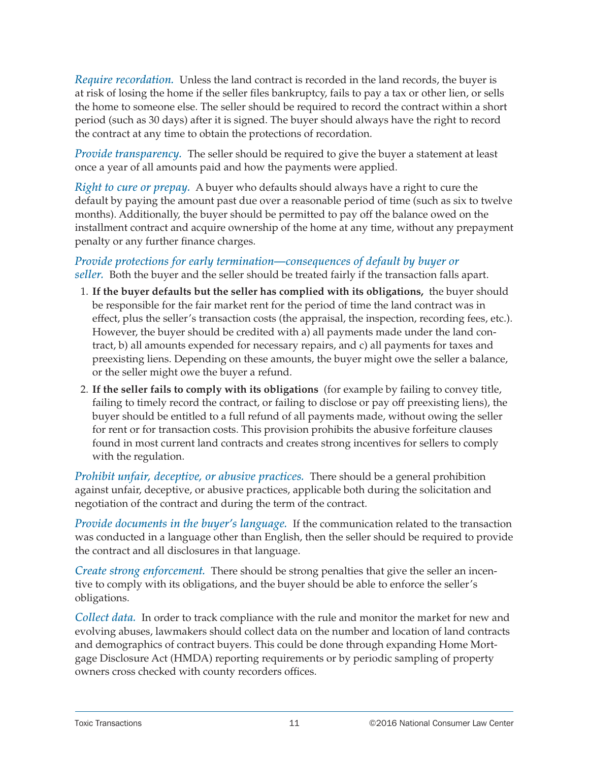*Require recordation.* Unless the land contract is recorded in the land records, the buyer is at risk of losing the home if the seller files bankruptcy, fails to pay a tax or other lien, or sells the home to someone else. The seller should be required to record the contract within a short period (such as 30 days) after it is signed. The buyer should always have the right to record the contract at any time to obtain the protections of recordation.

*Provide transparency.* The seller should be required to give the buyer a statement at least once a year of all amounts paid and how the payments were applied.

*Right to cure or prepay.* A buyer who defaults should always have a right to cure the default by paying the amount past due over a reasonable period of time (such as six to twelve months). Additionally, the buyer should be permitted to pay off the balance owed on the installment contract and acquire ownership of the home at any time, without any prepayment penalty or any further finance charges.

*Provide protections for early termination—consequences of default by buyer or seller.* Both the buyer and the seller should be treated fairly if the transaction falls apart.

- 1. **If the buyer defaults but the seller has complied with its obligations,** the buyer should be responsible for the fair market rent for the period of time the land contract was in effect, plus the seller's transaction costs (the appraisal, the inspection, recording fees, etc.). However, the buyer should be credited with a) all payments made under the land contract, b) all amounts expended for necessary repairs, and c) all payments for taxes and preexisting liens. Depending on these amounts, the buyer might owe the seller a balance, or the seller might owe the buyer a refund.
- 2. **If the seller fails to comply with its obligations** (for example by failing to convey title, failing to timely record the contract, or failing to disclose or pay off preexisting liens), the buyer should be entitled to a full refund of all payments made, without owing the seller for rent or for transaction costs. This provision prohibits the abusive forfeiture clauses found in most current land contracts and creates strong incentives for sellers to comply with the regulation.

*Prohibit unfair, deceptive, or abusive practices.* There should be a general prohibition against unfair, deceptive, or abusive practices, applicable both during the solicitation and negotiation of the contract and during the term of the contract.

*Provide documents in the buyer's language.* If the communication related to the transaction was conducted in a language other than English, then the seller should be required to provide the contract and all disclosures in that language.

*Create strong enforcement.* There should be strong penalties that give the seller an incentive to comply with its obligations, and the buyer should be able to enforce the seller's obligations.

*Collect data.* In order to track compliance with the rule and monitor the market for new and evolving abuses, lawmakers should collect data on the number and location of land contracts and demographics of contract buyers. This could be done through expanding Home Mortgage Disclosure Act (HMDA) reporting requirements or by periodic sampling of property owners cross checked with county recorders offices.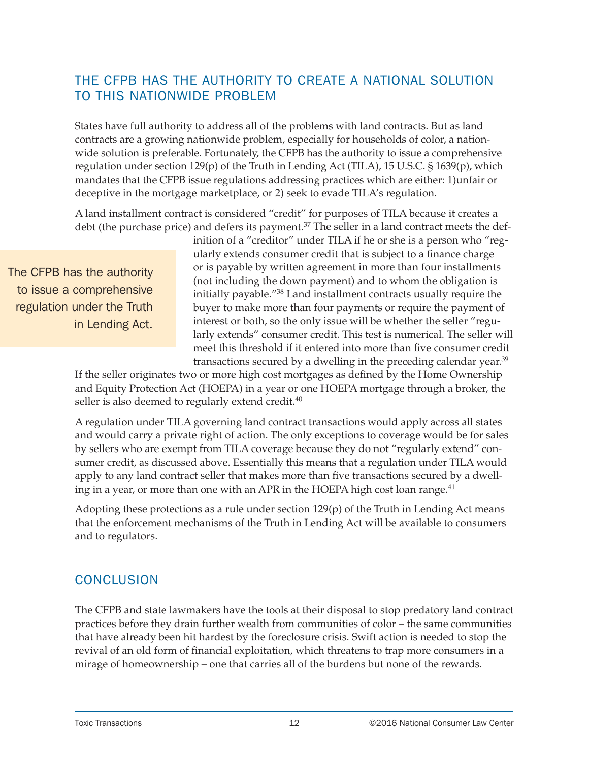# <span id="page-15-0"></span>THE CFPB HAS THE AUTHORITY TO CREATE A NATIONAL SOLUTION TO THIS NATIONWIDE PROBLEM

States have full authority to address all of the problems with land contracts. But as land contracts are a growing nationwide problem, especially for households of color, a nationwide solution is preferable. Fortunately, the CFPB has the authority to issue a comprehensive regulation under section  $129(p)$  of the Truth in Lending Act (TILA), 15 U.S.C. § 1639(p), which mandates that the CFPB issue regulations addressing practices which are either: 1)unfair or deceptive in the mortgage marketplace, or 2) seek to evade TILA's regulation.

A land installment contract is considered "credit" for purposes of TILA because it creates a debt (the purchase price) and defers its payment.<sup>37</sup> The seller in a land contract meets the def-

The CFPB has the authority to issue a comprehensive regulation under the Truth in Lending Act.

inition of a "creditor" under TILA if he or she is a person who "regularly extends consumer credit that is subject to a finance charge or is payable by written agreement in more than four installments (not including the down payment) and to whom the obligation is initially payable."38 Land installment contracts usually require the buyer to make more than four payments or require the payment of interest or both, so the only issue will be whether the seller "regularly extends" consumer credit. This test is numerical. The seller will meet this threshold if it entered into more than five consumer credit transactions secured by a dwelling in the preceding calendar year.<sup>39</sup>

If the seller originates two or more high cost mortgages as defined by the Home Ownership and Equity Protection Act (HOEPA) in a year or one HOEPA mortgage through a broker, the seller is also deemed to regularly extend credit.<sup>40</sup>

A regulation under TILA governing land contract transactions would apply across all states and would carry a private right of action. The only exceptions to coverage would be for sales by sellers who are exempt from TILA coverage because they do not "regularly extend" consumer credit, as discussed above. Essentially this means that a regulation under TILA would apply to any land contract seller that makes more than five transactions secured by a dwelling in a year, or more than one with an APR in the HOEPA high cost loan range.<sup>41</sup>

Adopting these protections as a rule under section 129(p) of the Truth in Lending Act means that the enforcement mechanisms of the Truth in Lending Act will be available to consumers and to regulators.

### **CONCLUSION**

The CFPB and state lawmakers have the tools at their disposal to stop predatory land contract practices before they drain further wealth from communities of color – the same communities that have already been hit hardest by the foreclosure crisis. Swift action is needed to stop the revival of an old form of financial exploitation, which threatens to trap more consumers in a mirage of homeownership – one that carries all of the burdens but none of the rewards.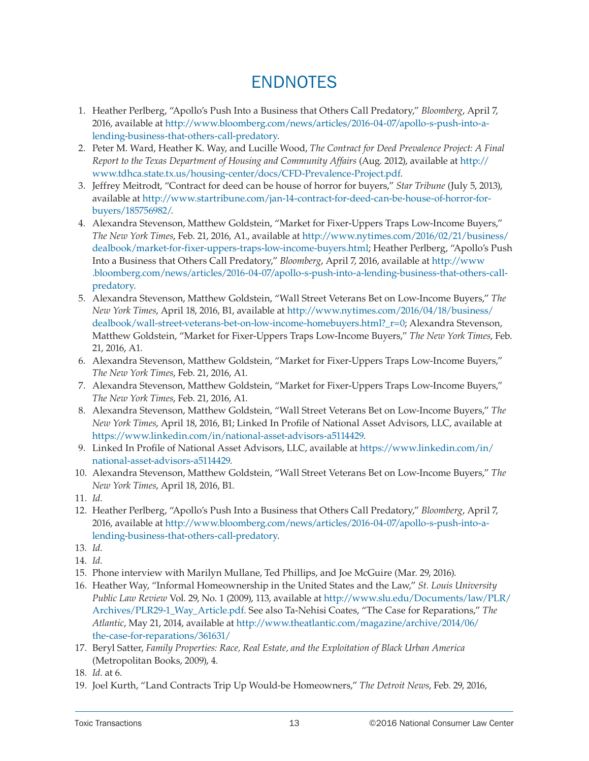# ENDNOTES

- <span id="page-16-0"></span>1. Heather Perlberg, "Apollo's Push Into a Business that Others Call Predatory," *Bloomberg*, April 7, 2016, available at [http://www.bloomberg.com/news/articles/2016-04-07/apollo-s-push-into-a](http://www.bloomberg.com/news/articles/2016-04-07/apollo-s-push-into-a-lending-business-that-others-call-predatory)[lending-business-that-others-call-predatory](http://www.bloomberg.com/news/articles/2016-04-07/apollo-s-push-into-a-lending-business-that-others-call-predatory).
- 2. Peter M. Ward, Heather K. Way, and Lucille Wood, *The Contract for Deed Prevalence Project: A Final Report to the Texas Department of Housing and Community Affairs* (Aug. 2012), available at [http://](http://www.tdhca.state.tx.us/housing-center/docs/CFD-Prevalence-Project.pdf) [www.tdhca.state.tx.us/housing-center/docs/CFD-Prevalence-Project.pdf](http://www.tdhca.state.tx.us/housing-center/docs/CFD-Prevalence-Project.pdf).
- 3. Jeffrey Meitrodt, "Contract for deed can be house of horror for buyers," *Star Tribune* (July 5, 2013), available at [http://www.startribune.com/jan-14-contract-for-deed-can-be-house-of-horror-for](http://www.startribune.com/jan-14-contract-for-deed-can-be-house-of-horror-for-buyers/185756982/)[buyers/185756982/.](http://www.startribune.com/jan-14-contract-for-deed-can-be-house-of-horror-for-buyers/185756982/)
- 4. Alexandra Stevenson, Matthew Goldstein, "Market for Fixer-Uppers Traps Low-Income Buyers," *The New York Times*, Feb. 21, 2016, A1., available at [http://www.nytimes.com/2016/02/21/business/](http://www.nytimes.com/2016/02/21/business/dealbook/market-for-fixer-uppers-traps-low-income-buyers.html) [dealbook/market-for-fixer-uppers-traps-low-income-buyers.html](http://www.nytimes.com/2016/02/21/business/dealbook/market-for-fixer-uppers-traps-low-income-buyers.html); Heather Perlberg, "Apollo's Push Into a Business that Others Call Predatory," *Bloomberg*, April 7, 2016, available at [http://www](http://www.bloomberg.com/news/articles/2016-04-07/apollo-s-push-into-a-lending-business-that-others-call-predatory) [.bloomberg.com/news/articles/2016-04-07/apollo-s-push-into-a-lending-business-that-others-call](http://www.bloomberg.com/news/articles/2016-04-07/apollo-s-push-into-a-lending-business-that-others-call-predatory)[predatory.](http://www.bloomberg.com/news/articles/2016-04-07/apollo-s-push-into-a-lending-business-that-others-call-predatory)
- 5. Alexandra Stevenson, Matthew Goldstein, "Wall Street Veterans Bet on Low-Income Buyers," *The New York Times*, April 18, 2016, B1, available at [http://www.nytimes.com/2016/04/18/business/](http://www.nytimes.com/2016/04/18/business/dealbook/wall-street-veterans-bet-on-low-income-homebuyers.html?_r=0) [dealbook/wall-street-veterans-bet-on-low-income-homebuyers.html?\\_r=0;](http://www.nytimes.com/2016/04/18/business/dealbook/wall-street-veterans-bet-on-low-income-homebuyers.html?_r=0) Alexandra Stevenson, Matthew Goldstein, "Market for Fixer-Uppers Traps Low-Income Buyers," *The New York Times*, Feb. 21, 2016, A1.
- 6. Alexandra Stevenson, Matthew Goldstein, "Market for Fixer-Uppers Traps Low-Income Buyers," *The New York Times*, Feb. 21, 2016, A1.
- 7. Alexandra Stevenson, Matthew Goldstein, "Market for Fixer-Uppers Traps Low-Income Buyers," *The New York Times*, Feb. 21, 2016, A1.
- 8. Alexandra Stevenson, Matthew Goldstein, "Wall Street Veterans Bet on Low-Income Buyers," *The New York Times*, April 18, 2016, B1; Linked In Profile of National Asset Advisors, LLC, available at [https://www.linkedin.com/in/national-asset-advisors-a5114429.](https://www.linkedin.com/in/national-asset-advisors-a5114429)
- 9. Linked In Profile of National Asset Advisors, LLC, available at [https://www.linkedin.com/in/](https://www.linkedin.com/in/national-asset-advisors-a5114429) [national-asset-advisors-a5114429](https://www.linkedin.com/in/national-asset-advisors-a5114429).
- 10. Alexandra Stevenson, Matthew Goldstein, "Wall Street Veterans Bet on Low-Income Buyers," *The New York Times*, April 18, 2016, B1.
- 11. *Id*.
- 12. Heather Perlberg, "Apollo's Push Into a Business that Others Call Predatory," *Bloomberg*, April 7, 2016, available at [http://www.bloomberg.com/news/articles/2016-04-07/apollo-s-push-into-a](http://www.bloomberg.com/news/articles/2016-04-07/apollo-s-push-into-a-lending-business-that-others-call-predatory)[lending-business-that-others-call-predatory](http://www.bloomberg.com/news/articles/2016-04-07/apollo-s-push-into-a-lending-business-that-others-call-predatory).
- 13. *Id*.
- 14. *Id*.
- 15. Phone interview with Marilyn Mullane, Ted Phillips, and Joe McGuire (Mar. 29, 2016).
- 16. Heather Way, "Informal Homeownership in the United States and the Law," *St. Louis University Public Law Review* Vol. 29, No. 1 (2009), 113, available at [http://www.slu.edu/Documents/law/PLR/](http://www.slu.edu/Documents/law/PLR/Archives/PLR29-1_Way_Article.pdf) [Archives/PLR29-1\\_Way\\_Article.pdf.](http://www.slu.edu/Documents/law/PLR/Archives/PLR29-1_Way_Article.pdf) See also Ta-Nehisi Coates, "The Case for Reparations," *The Atlantic*, May 21, 2014, available at [http://www.theatlantic.com/magazine/archive/2014/06/](http://www.theatlantic.com/magazine/archive/2014/06/the-case-for-reparations/361631/) [the-case-for-reparations/361631/](http://www.theatlantic.com/magazine/archive/2014/06/the-case-for-reparations/361631/)
- 17. Beryl Satter, *Family Properties: Race, Real Estate, and the Exploitation of Black Urban America* (Metropolitan Books, 2009), 4.
- 18. *Id*. at 6.
- 19. Joel Kurth, "Land Contracts Trip Up Would-be Homeowners," *The Detroit News*, Feb. 29, 2016,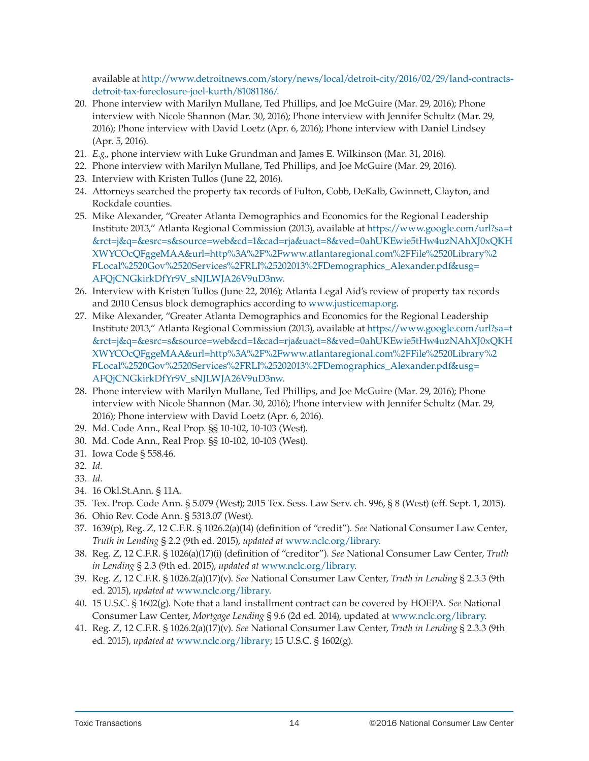available at [http://www.detroitnews.com/story/news/local/detroit-city/2016/02/29/land-contracts](http://www.detroitnews.com/story/news/local/detroit-city/2016/02/29/land-contracts-detroit-tax-foreclosure-joel-kurth/81081186/.)[detroit-tax-foreclosure-joel-kurth/81081186/.](http://www.detroitnews.com/story/news/local/detroit-city/2016/02/29/land-contracts-detroit-tax-foreclosure-joel-kurth/81081186/.)

- 20. Phone interview with Marilyn Mullane, Ted Phillips, and Joe McGuire (Mar. 29, 2016); Phone interview with Nicole Shannon (Mar. 30, 2016); Phone interview with Jennifer Schultz (Mar. 29, 2016); Phone interview with David Loetz (Apr. 6, 2016); Phone interview with Daniel Lindsey (Apr. 5, 2016).
- 21. *E.g*., phone interview with Luke Grundman and James E. Wilkinson (Mar. 31, 2016).
- 22. Phone interview with Marilyn Mullane, Ted Phillips, and Joe McGuire (Mar. 29, 2016).
- 23. Interview with Kristen Tullos (June 22, 2016).
- 24. Attorneys searched the property tax records of Fulton, Cobb, DeKalb, Gwinnett, Clayton, and Rockdale counties.
- 25. Mike Alexander, "Greater Atlanta Demographics and Economics for the Regional Leadership Institute 2013," Atlanta Regional Commission (2013), available at [https://www.google.com/url?sa=t](https://www.google.com/url?sa=t&rct=j&q=&esrc=s&source=web&cd=1&cad=rja&uact=8&ved=0ahUKEwie5tHw4uzNAhXJ0xQKHXWYCOcQFggeMAA&url=http%3A%2F%2Fwww.atlantaregional.com%2FFile%2520Library%2FLocal%2520Gov%2520Services%2FRLI%25202013%2FDemographics_Alexander.pd) [&rct=j&q=&esrc=s&source=web&cd=1&cad=rja&uact=8&ved=0ahUKEwie5tHw4uzNAhXJ0xQKH](https://www.google.com/url?sa=t&rct=j&q=&esrc=s&source=web&cd=1&cad=rja&uact=8&ved=0ahUKEwie5tHw4uzNAhXJ0xQKHXWYCOcQFggeMAA&url=http%3A%2F%2Fwww.atlantaregional.com%2FFile%2520Library%2FLocal%2520Gov%2520Services%2FRLI%25202013%2FDemographics_Alexander.pd) [XWYCOcQFggeMAA&url=http%3A%2F%2Fwww.atlantaregional.com%2FFile%2520Library%2](https://www.google.com/url?sa=t&rct=j&q=&esrc=s&source=web&cd=1&cad=rja&uact=8&ved=0ahUKEwie5tHw4uzNAhXJ0xQKHXWYCOcQFggeMAA&url=http%3A%2F%2Fwww.atlantaregional.com%2FFile%2520Library%2FLocal%2520Gov%2520Services%2FRLI%25202013%2FDemographics_Alexander.pd) [FLocal%2520Gov%2520Services%2FRLI%25202013%2FDemographics\\_Alexander.pdf&usg=](https://www.google.com/url?sa=t&rct=j&q=&esrc=s&source=web&cd=1&cad=rja&uact=8&ved=0ahUKEwie5tHw4uzNAhXJ0xQKHXWYCOcQFggeMAA&url=http%3A%2F%2Fwww.atlantaregional.com%2FFile%2520Library%2FLocal%2520Gov%2520Services%2FRLI%25202013%2FDemographics_Alexander.pd) [AFQjCNGkirkDfYr9V\\_sNJLWJA26V9uD3nw.](https://www.google.com/url?sa=t&rct=j&q=&esrc=s&source=web&cd=1&cad=rja&uact=8&ved=0ahUKEwie5tHw4uzNAhXJ0xQKHXWYCOcQFggeMAA&url=http%3A%2F%2Fwww.atlantaregional.com%2FFile%2520Library%2FLocal%2520Gov%2520Services%2FRLI%25202013%2FDemographics_Alexander.pd)
- 26. Interview with Kristen Tullos (June 22, 2016); Atlanta Legal Aid's review of property tax records and 2010 Census block demographics according to [www.justicemap.org](http://www.justicemap.org).
- 27. Mike Alexander, "Greater Atlanta Demographics and Economics for the Regional Leadership Institute 2013," Atlanta Regional Commission (2013), available at [https://www.google.com/url?sa=t](https://www.google.com/url?sa=t&rct=j&q=&esrc=s&source=web&cd=1&cad=rja&uact=8&ved=0ahUKEwie5tHw4uzNAhXJ0xQKHXWYCOcQFggeMAA&url=http%3A%2F%2Fwww.atlantaregional.com%2FFile%2520Library%2FLocal%2520Gov%2520Services%2FRLI%25202013%2FDemographics_Alexander.pd) [&rct=j&q=&esrc=s&source=web&cd=1&cad=rja&uact=8&ved=0ahUKEwie5tHw4uzNAhXJ0xQKH](https://www.google.com/url?sa=t&rct=j&q=&esrc=s&source=web&cd=1&cad=rja&uact=8&ved=0ahUKEwie5tHw4uzNAhXJ0xQKHXWYCOcQFggeMAA&url=http%3A%2F%2Fwww.atlantaregional.com%2FFile%2520Library%2FLocal%2520Gov%2520Services%2FRLI%25202013%2FDemographics_Alexander.pd) [XWYCOcQFggeMAA&url=http%3A%2F%2Fwww.atlantaregional.com%2FFile%2520Library%2](https://www.google.com/url?sa=t&rct=j&q=&esrc=s&source=web&cd=1&cad=rja&uact=8&ved=0ahUKEwie5tHw4uzNAhXJ0xQKHXWYCOcQFggeMAA&url=http%3A%2F%2Fwww.atlantaregional.com%2FFile%2520Library%2FLocal%2520Gov%2520Services%2FRLI%25202013%2FDemographics_Alexander.pd) [FLocal%2520Gov%2520Services%2FRLI%25202013%2FDemographics\\_Alexander.pdf&usg=](https://www.google.com/url?sa=t&rct=j&q=&esrc=s&source=web&cd=1&cad=rja&uact=8&ved=0ahUKEwie5tHw4uzNAhXJ0xQKHXWYCOcQFggeMAA&url=http%3A%2F%2Fwww.atlantaregional.com%2FFile%2520Library%2FLocal%2520Gov%2520Services%2FRLI%25202013%2FDemographics_Alexander.pd) [AFQjCNGkirkDfYr9V\\_sNJLWJA26V9uD3nw.](https://www.google.com/url?sa=t&rct=j&q=&esrc=s&source=web&cd=1&cad=rja&uact=8&ved=0ahUKEwie5tHw4uzNAhXJ0xQKHXWYCOcQFggeMAA&url=http%3A%2F%2Fwww.atlantaregional.com%2FFile%2520Library%2FLocal%2520Gov%2520Services%2FRLI%25202013%2FDemographics_Alexander.pd)
- 28. Phone interview with Marilyn Mullane, Ted Phillips, and Joe McGuire (Mar. 29, 2016); Phone interview with Nicole Shannon (Mar. 30, 2016); Phone interview with Jennifer Schultz (Mar. 29, 2016); Phone interview with David Loetz (Apr. 6, 2016).
- 29. Md. Code Ann., Real Prop. §§ 10-102, 10-103 (West).
- 30. Md. Code Ann., Real Prop. §§ 10-102, 10-103 (West).
- 31. Iowa Code § 558.46.
- 32. *Id*.
- 33. *Id*.
- 34. 16 Okl.St.Ann. § 11A.
- 35. Tex. Prop. Code Ann. § 5.079 (West); 2015 Tex. Sess. Law Serv. ch. 996, § 8 (West) (eff. Sept. 1, 2015).
- 36. Ohio Rev. Code Ann. § 5313.07 (West).
- 37. 1639(p), Reg. Z, 12 C.F.R. § 1026.2(a)(14) (definition of "credit"). *See* National Consumer Law Center, *Truth in Lending* § 2.2 (9th ed. 2015), *updated at* [www.nclc.org/library.](http://www.nclc.org/library)
- 38. Reg. Z, 12 C.F.R. § 1026(a)(17)(i) (definition of "creditor"). *See* National Consumer Law Center, *Truth in Lending* § 2.3 (9th ed. 2015), *updated at* [www.nclc.org/library](http://www.nclc.org/library).
- 39. Reg. Z, 12 C.F.R. § 1026.2(a)(17)(v). *See* National Consumer Law Center, *Truth in Lending* § 2.3.3 (9th ed. 2015), *updated at* [www.nclc.org/library.](http://www.nclc.org/library)
- 40. 15 U.S.C. § 1602(g). Note that a land installment contract can be covered by HOEPA. *See* National Consumer Law Center, *Mortgage Lending* § 9.6 (2d ed. 2014), updated at [www.nclc.org/library](http://www.nclc.org/library)*.*
- 41. Reg. Z, 12 C.F.R. § 1026.2(a)(17)(v). *See* National Consumer Law Center, *Truth in Lending* § 2.3.3 (9th ed. 2015), *updated at* [www.nclc.org/library;](http://www.nclc.org/library) 15 U.S.C. § 1602(g).